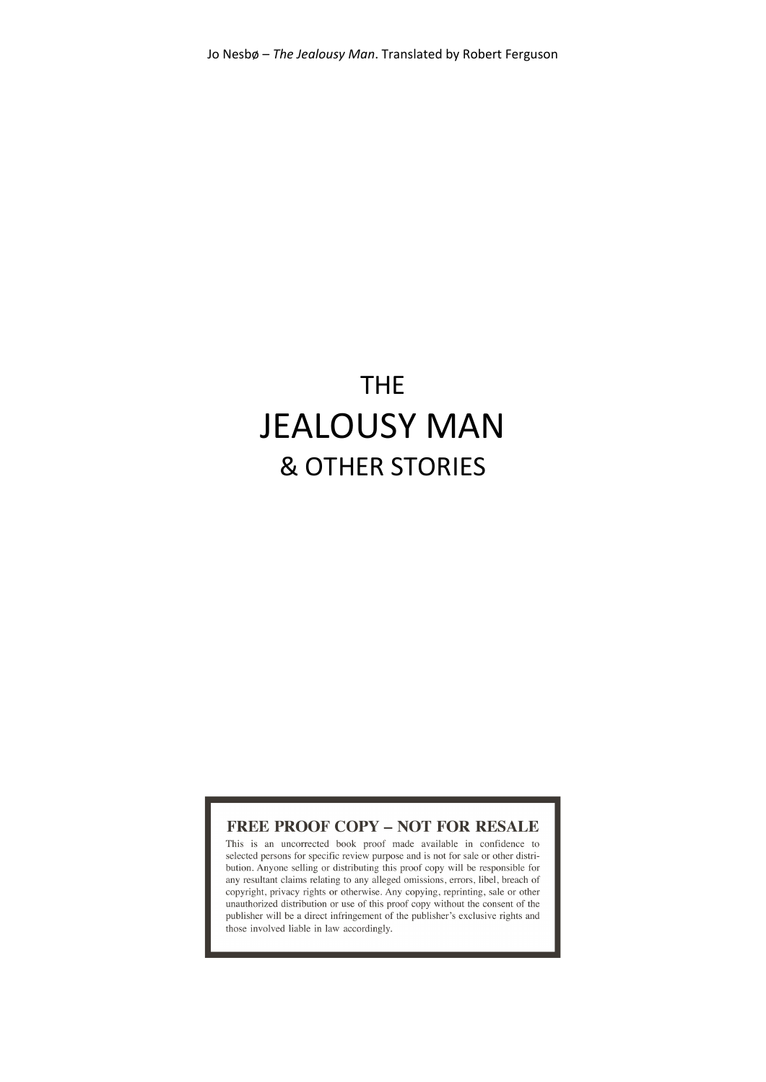# THE JEALOUSY MAN & OTHER STORIES

# **FREE PROOF COPY - NOT FOR RESALE**

This is an uncorrected book proof made available in confidence to selected persons for specific review purpose and is not for sale or other distribution. Anyone selling or distributing this proof copy will be responsible for any resultant claims relating to any alleged omissions, errors, libel, breach of copyright, privacy rights or otherwise. Any copying, reprinting, sale or other unauthorized distribution or use of this proof copy without the consent of the publisher will be a direct infringement of the publisher's exclusive rights and those involved liable in law accordingly.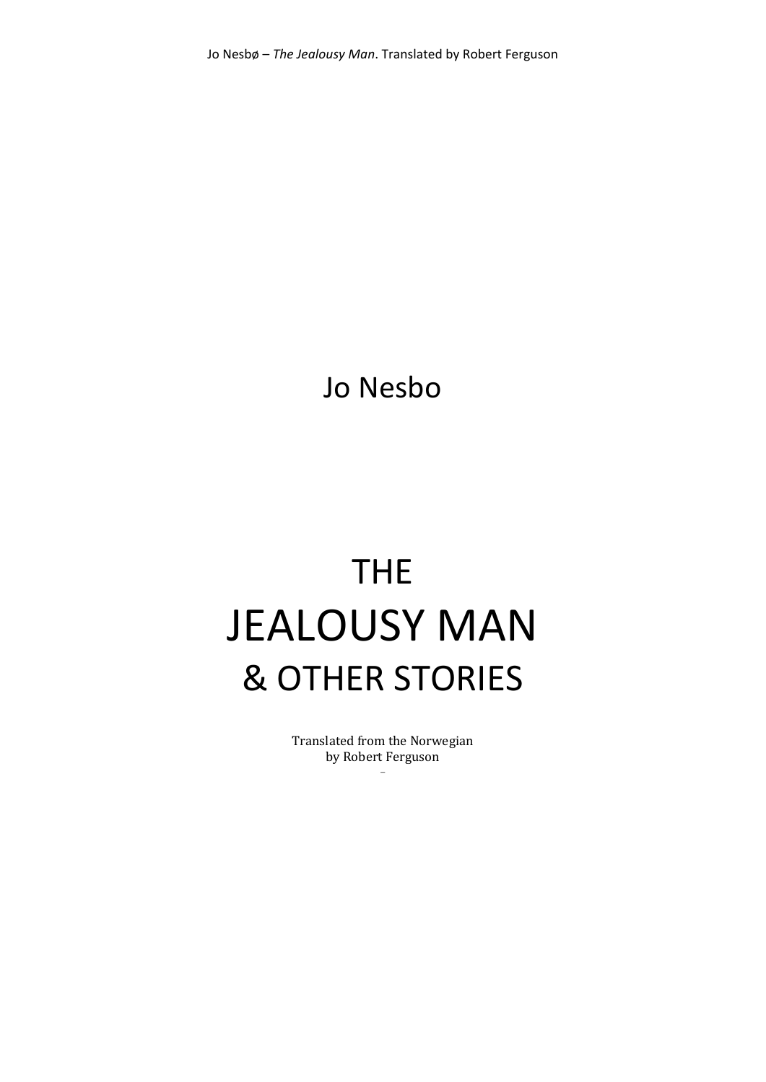Jo Nesbo

# THE JEALOUSY MAN & OTHER STORIES

Translated from the Norwegian by Robert Ferguson \_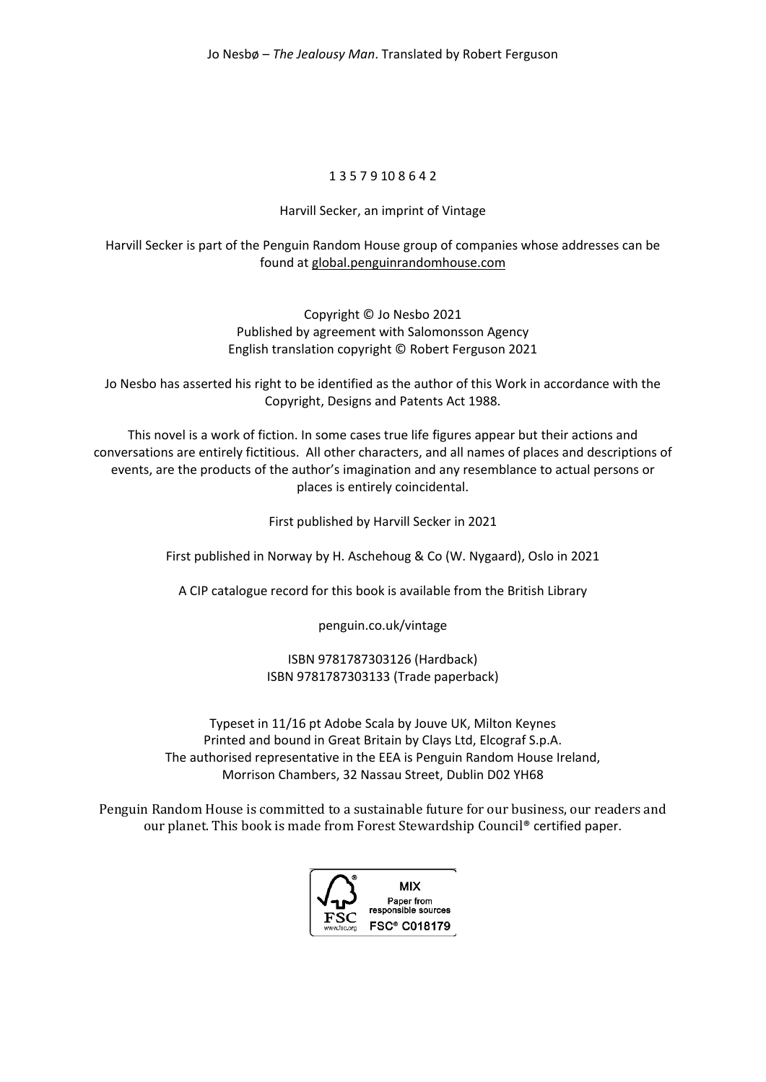# 1 3 5 7 9 10 8 6 4 2

### Harvill Secker, an imprint of Vintage

# Harvill Secker is part of the Penguin Random House group of companies whose addresses can be found at global.penguinrandomhouse.com

## Copyright © Jo Nesbo 2021 Published by agreement with Salomonsson Agency English translation copyright © Robert Ferguson 2021

Jo Nesbo has asserted his right to be identified as the author of this Work in accordance with the Copyright, Designs and Patents Act 1988.

This novel is a work of fiction. In some cases true life figures appear but their actions and conversations are entirely fictitious. All other characters, and all names of places and descriptions of events, are the products of the author's imagination and any resemblance to actual persons or places is entirely coincidental.

First published by Harvill Secker in 2021

First published in Norway by H. Aschehoug & Co (W. Nygaard), Oslo in 2021

A CIP catalogue record for this book is available from the British Library

penguin.co.uk/vintage

ISBN 9781787303126 (Hardback) ISBN 9781787303133 (Trade paperback)

Typeset in 11/16 pt Adobe Scala by Jouve UK, Milton Keynes Printed and bound in Great Britain by Clays Ltd, Elcograf S.p.A. The authorised representative in the EEA is Penguin Random House Ireland, Morrison Chambers, 32 Nassau Street, Dublin D02 YH68

Penguin Random House is committed to a sustainable future for our business, our readers and our planet. This book is made from Forest Stewardship Council® certified paper.

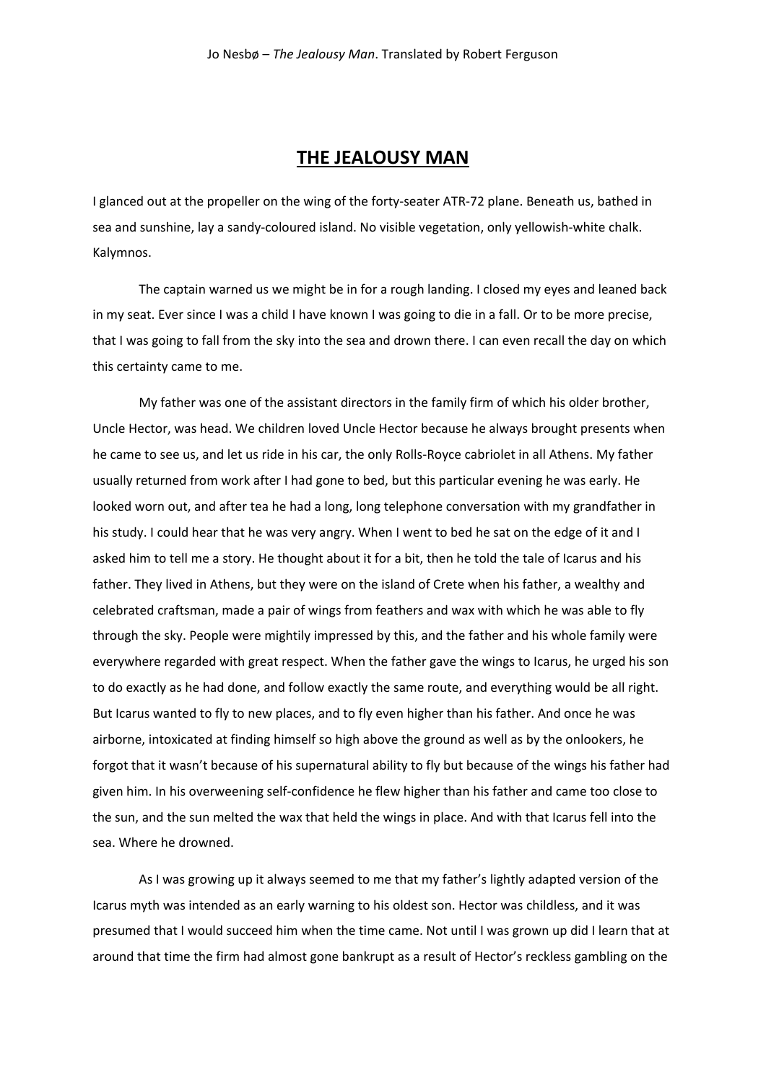# **THE JEALOUSY MAN**

I glanced out at the propeller on the wing of the forty-seater ATR-72 plane. Beneath us, bathed in sea and sunshine, lay a sandy-coloured island. No visible vegetation, only yellowish-white chalk. Kalymnos.

The captain warned us we might be in for a rough landing. I closed my eyes and leaned back in my seat. Ever since I was a child I have known I was going to die in a fall. Or to be more precise, that I was going to fall from the sky into the sea and drown there. I can even recall the day on which this certainty came to me.

My father was one of the assistant directors in the family firm of which his older brother, Uncle Hector, was head. We children loved Uncle Hector because he always brought presents when he came to see us, and let us ride in his car, the only Rolls-Royce cabriolet in all Athens. My father usually returned from work after I had gone to bed, but this particular evening he was early. He looked worn out, and after tea he had a long, long telephone conversation with my grandfather in his study. I could hear that he was very angry. When I went to bed he sat on the edge of it and I asked him to tell me a story. He thought about it for a bit, then he told the tale of Icarus and his father. They lived in Athens, but they were on the island of Crete when his father, a wealthy and celebrated craftsman, made a pair of wings from feathers and wax with which he was able to fly through the sky. People were mightily impressed by this, and the father and his whole family were everywhere regarded with great respect. When the father gave the wings to Icarus, he urged his son to do exactly as he had done, and follow exactly the same route, and everything would be all right. But Icarus wanted to fly to new places, and to fly even higher than his father. And once he was airborne, intoxicated at finding himself so high above the ground as well as by the onlookers, he forgot that it wasn't because of his supernatural ability to fly but because of the wings his father had given him. In his overweening self-confidence he flew higher than his father and came too close to the sun, and the sun melted the wax that held the wings in place. And with that Icarus fell into the sea. Where he drowned.

As I was growing up it always seemed to me that my father's lightly adapted version of the Icarus myth was intended as an early warning to his oldest son. Hector was childless, and it was presumed that I would succeed him when the time came. Not until I was grown up did I learn that at around that time the firm had almost gone bankrupt as a result of Hector's reckless gambling on the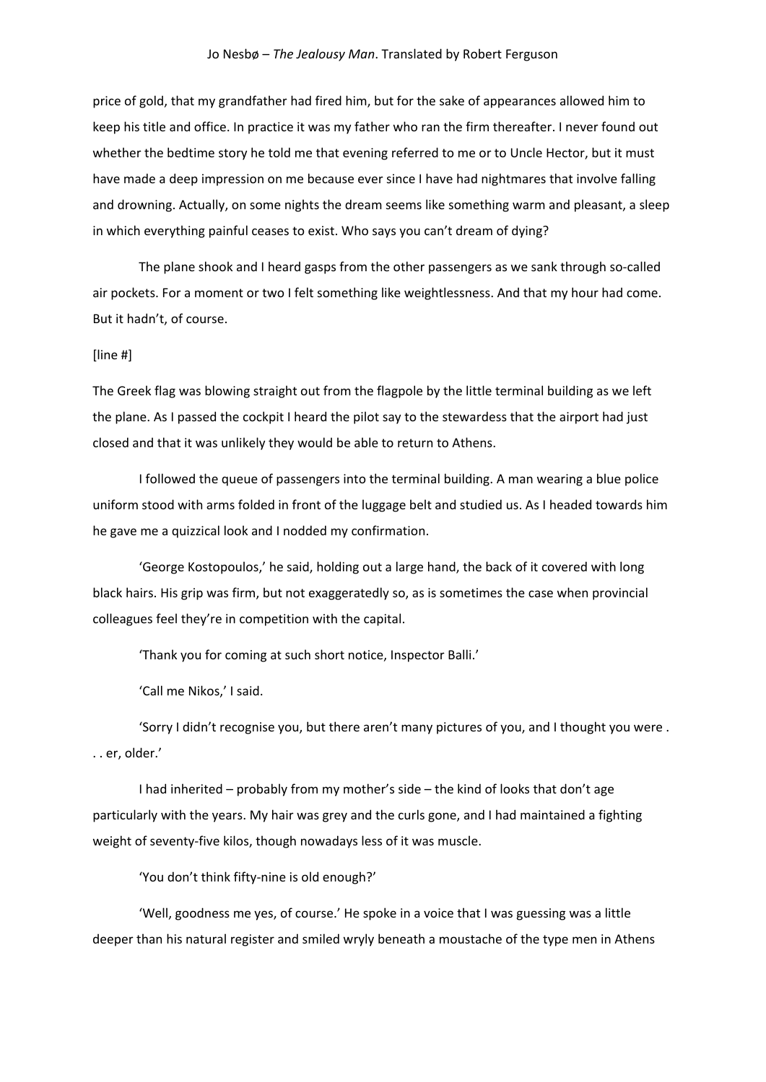price of gold, that my grandfather had fired him, but for the sake of appearances allowed him to keep his title and office. In practice it was my father who ran the firm thereafter. I never found out whether the bedtime story he told me that evening referred to me or to Uncle Hector, but it must have made a deep impression on me because ever since I have had nightmares that involve falling and drowning. Actually, on some nights the dream seems like something warm and pleasant, a sleep in which everything painful ceases to exist. Who says you can't dream of dying?

The plane shook and I heard gasps from the other passengers as we sank through so-called air pockets. For a moment or two I felt something like weightlessness. And that my hour had come. But it hadn't, of course.

#### [line #]

The Greek flag was blowing straight out from the flagpole by the little terminal building as we left the plane. As I passed the cockpit I heard the pilot say to the stewardess that the airport had just closed and that it was unlikely they would be able to return to Athens.

I followed the queue of passengers into the terminal building. A man wearing a blue police uniform stood with arms folded in front of the luggage belt and studied us. As I headed towards him he gave me a quizzical look and I nodded my confirmation.

'George Kostopoulos,' he said, holding out a large hand, the back of it covered with long black hairs. His grip was firm, but not exaggeratedly so, as is sometimes the case when provincial colleagues feel they're in competition with the capital.

'Thank you for coming at such short notice, Inspector Balli.'

'Call me Nikos,' I said.

'Sorry I didn't recognise you, but there aren't many pictures of you, and I thought you were . . . er, older.'

I had inherited – probably from my mother's side – the kind of looks that don't age particularly with the years. My hair was grey and the curls gone, and I had maintained a fighting weight of seventy-five kilos, though nowadays less of it was muscle.

'You don't think fifty-nine is old enough?'

'Well, goodness me yes, of course.' He spoke in a voice that I was guessing was a little deeper than his natural register and smiled wryly beneath a moustache of the type men in Athens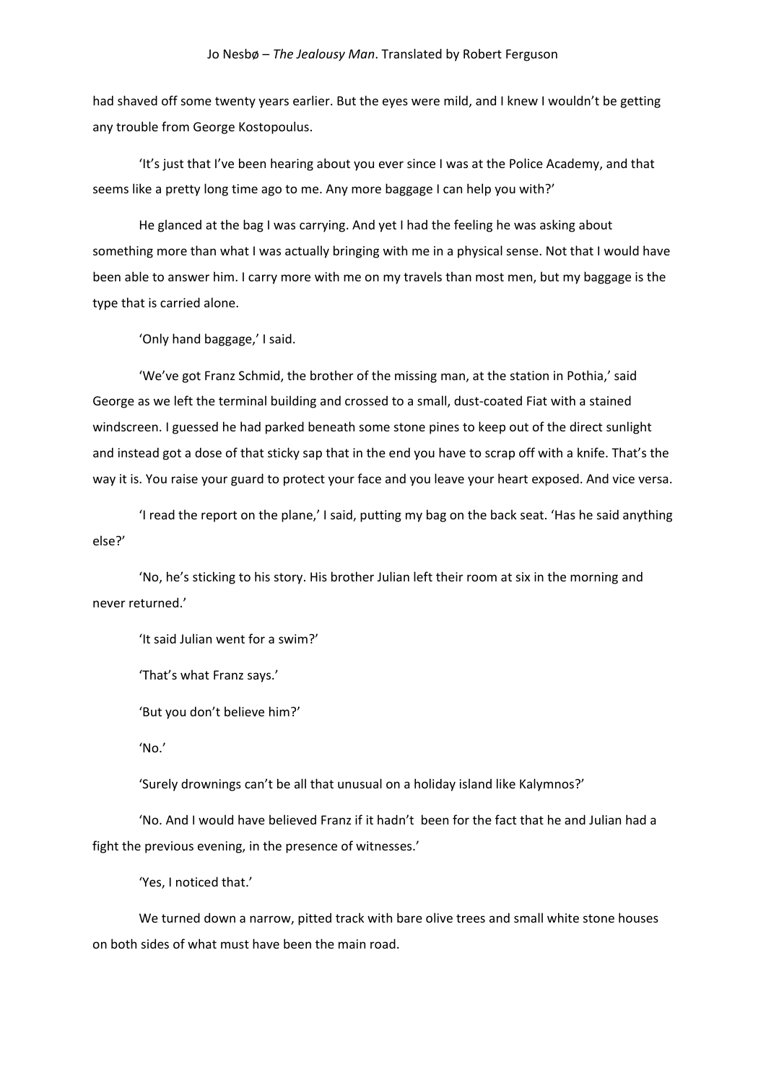had shaved off some twenty years earlier. But the eyes were mild, and I knew I wouldn't be getting any trouble from George Kostopoulus.

'It's just that I've been hearing about you ever since I was at the Police Academy, and that seems like a pretty long time ago to me. Any more baggage I can help you with?'

He glanced at the bag I was carrying. And yet I had the feeling he was asking about something more than what I was actually bringing with me in a physical sense. Not that I would have been able to answer him. I carry more with me on my travels than most men, but my baggage is the type that is carried alone.

'Only hand baggage,' I said.

'We've got Franz Schmid, the brother of the missing man, at the station in Pothia,' said George as we left the terminal building and crossed to a small, dust-coated Fiat with a stained windscreen. I guessed he had parked beneath some stone pines to keep out of the direct sunlight and instead got a dose of that sticky sap that in the end you have to scrap off with a knife. That's the way it is. You raise your guard to protect your face and you leave your heart exposed. And vice versa.

'I read the report on the plane,' I said, putting my bag on the back seat. 'Has he said anything else?'

'No, he's sticking to his story. His brother Julian left their room at six in the morning and never returned.'

'It said Julian went for a swim?'

'That's what Franz says.'

'But you don't believe him?'

'No.'

'Surely drownings can't be all that unusual on a holiday island like Kalymnos?'

'No. And I would have believed Franz if it hadn't been for the fact that he and Julian had a fight the previous evening, in the presence of witnesses.'

'Yes, I noticed that.'

We turned down a narrow, pitted track with bare olive trees and small white stone houses on both sides of what must have been the main road.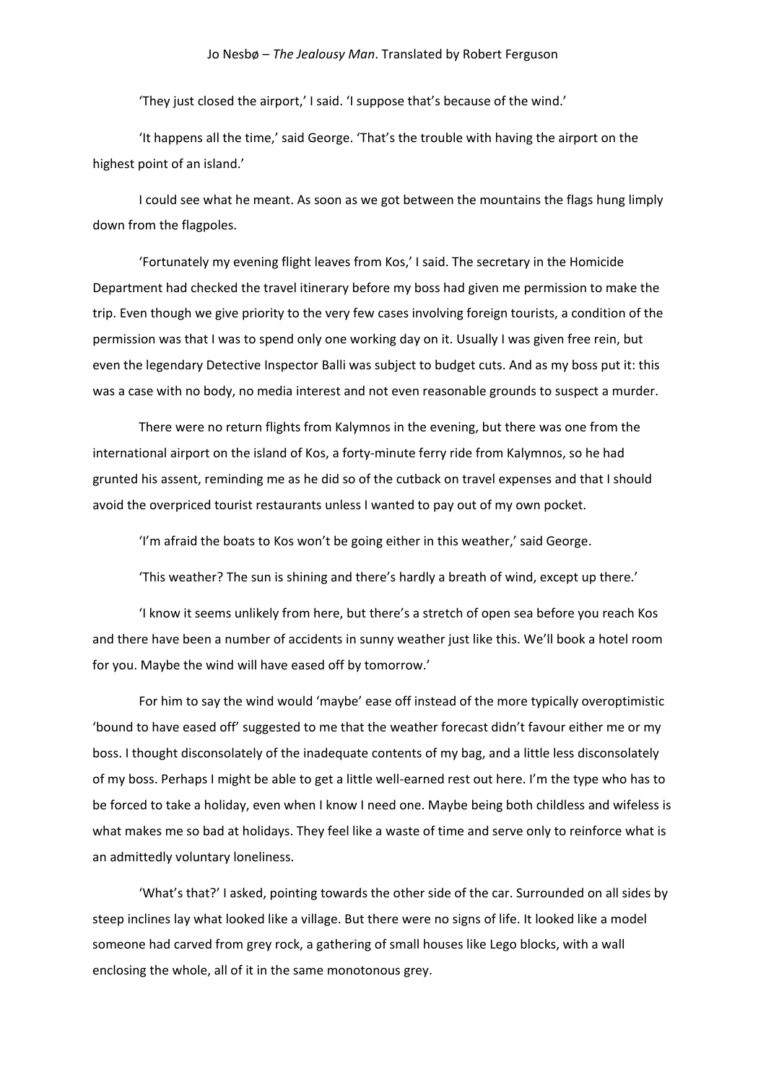'They just closed the airport,' I said. 'I suppose that's because of the wind.'

'It happens all the time,' said George. 'That's the trouble with having the airport on the highest point of an island.'

I could see what he meant. As soon as we got between the mountains the flags hung limply down from the flagpoles.

'Fortunately my evening flight leaves from Kos,' I said. The secretary in the Homicide Department had checked the travel itinerary before my boss had given me permission to make the trip. Even though we give priority to the very few cases involving foreign tourists, a condition of the permission was that I was to spend only one working day on it. Usually I was given free rein, but even the legendary Detective Inspector Balli was subject to budget cuts. And as my boss put it: this was a case with no body, no media interest and not even reasonable grounds to suspect a murder.

There were no return flights from Kalymnos in the evening, but there was one from the international airport on the island of Kos, a forty-minute ferry ride from Kalymnos, so he had grunted his assent, reminding me as he did so of the cutback on travel expenses and that I should avoid the overpriced tourist restaurants unless I wanted to pay out of my own pocket.

'I'm afraid the boats to Kos won't be going either in this weather,' said George.

'This weather? The sun is shining and there's hardly a breath of wind, except up there.'

'I know it seems unlikely from here, but there's a stretch of open sea before you reach Kos and there have been a number of accidents in sunny weather just like this. We'll book a hotel room for you. Maybe the wind will have eased off by tomorrow.'

For him to say the wind would 'maybe' ease off instead of the more typically overoptimistic 'bound to have eased off' suggested to me that the weather forecast didn't favour either me or my boss. I thought disconsolately of the inadequate contents of my bag, and a little less disconsolately of my boss. Perhaps I might be able to get a little well-earned rest out here. I'm the type who has to be forced to take a holiday, even when I know I need one. Maybe being both childless and wifeless is what makes me so bad at holidays. They feel like a waste of time and serve only to reinforce what is an admittedly voluntary loneliness.

'What's that?' I asked, pointing towards the other side of the car. Surrounded on all sides by steep inclines lay what looked like a village. But there were no signs of life. It looked like a model someone had carved from grey rock, a gathering of small houses like Lego blocks, with a wall enclosing the whole, all of it in the same monotonous grey.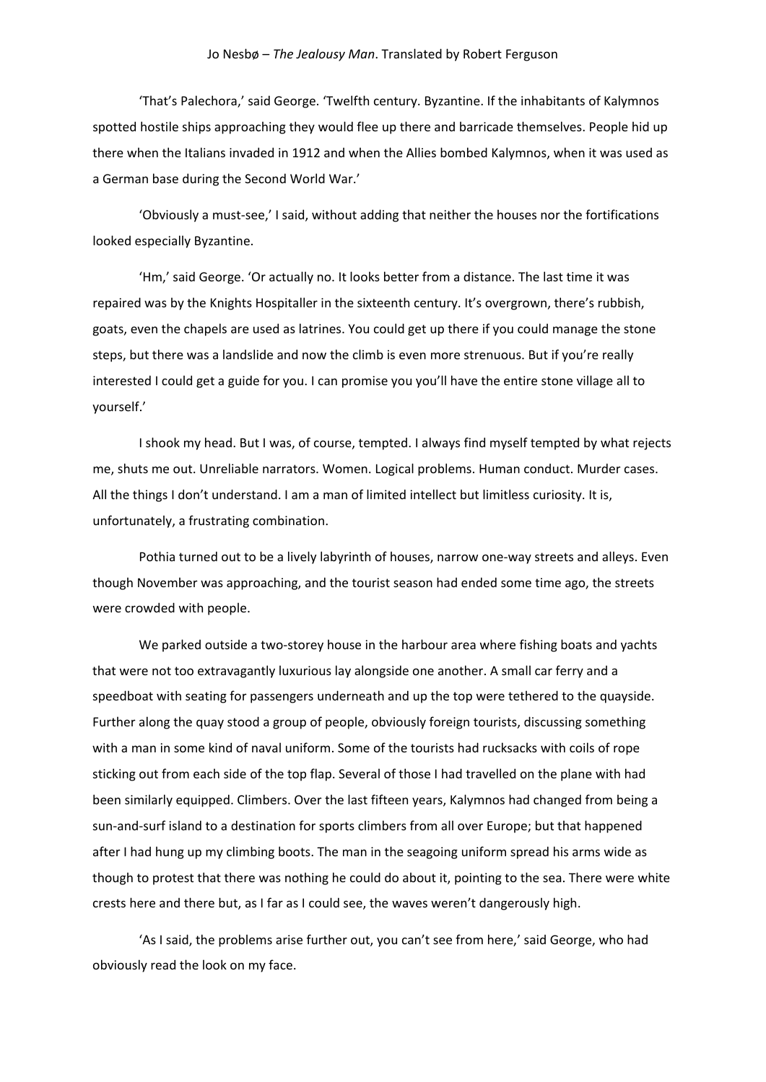'That's Palechora,' said George. 'Twelfth century. Byzantine. If the inhabitants of Kalymnos spotted hostile ships approaching they would flee up there and barricade themselves. People hid up there when the Italians invaded in 1912 and when the Allies bombed Kalymnos, when it was used as a German base during the Second World War.'

'Obviously a must-see,' I said, without adding that neither the houses nor the fortifications looked especially Byzantine.

'Hm,' said George. 'Or actually no. It looks better from a distance. The last time it was repaired was by the Knights Hospitaller in the sixteenth century. It's overgrown, there's rubbish, goats, even the chapels are used as latrines. You could get up there if you could manage the stone steps, but there was a landslide and now the climb is even more strenuous. But if you're really interested I could get a guide for you. I can promise you you'll have the entire stone village all to yourself.'

I shook my head. But I was, of course, tempted. I always find myself tempted by what rejects me, shuts me out. Unreliable narrators. Women. Logical problems. Human conduct. Murder cases. All the things I don't understand. I am a man of limited intellect but limitless curiosity. It is, unfortunately, a frustrating combination.

Pothia turned out to be a lively labyrinth of houses, narrow one-way streets and alleys. Even though November was approaching, and the tourist season had ended some time ago, the streets were crowded with people.

We parked outside a two-storey house in the harbour area where fishing boats and yachts that were not too extravagantly luxurious lay alongside one another. A small car ferry and a speedboat with seating for passengers underneath and up the top were tethered to the quayside. Further along the quay stood a group of people, obviously foreign tourists, discussing something with a man in some kind of naval uniform. Some of the tourists had rucksacks with coils of rope sticking out from each side of the top flap. Several of those I had travelled on the plane with had been similarly equipped. Climbers. Over the last fifteen years, Kalymnos had changed from being a sun-and-surf island to a destination for sports climbers from all over Europe; but that happened after I had hung up my climbing boots. The man in the seagoing uniform spread his arms wide as though to protest that there was nothing he could do about it, pointing to the sea. There were white crests here and there but, as I far as I could see, the waves weren't dangerously high.

'As I said, the problems arise further out, you can't see from here,' said George, who had obviously read the look on my face.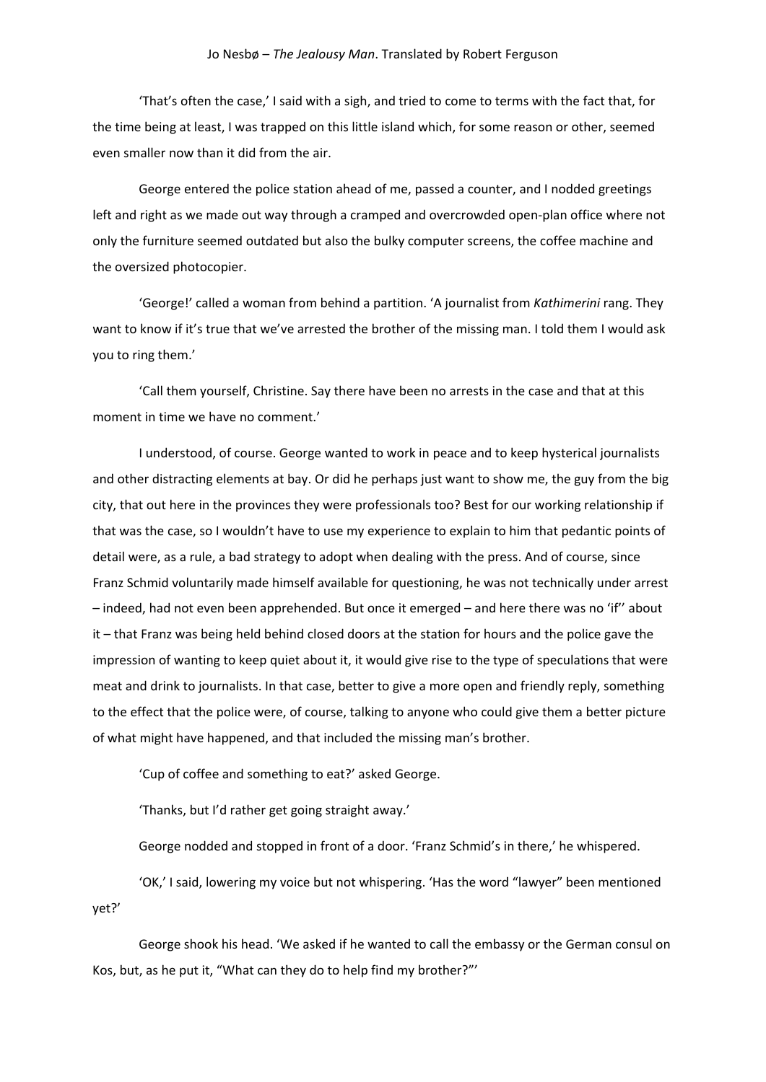'That's often the case,' I said with a sigh, and tried to come to terms with the fact that, for the time being at least, I was trapped on this little island which, for some reason or other, seemed even smaller now than it did from the air.

George entered the police station ahead of me, passed a counter, and I nodded greetings left and right as we made out way through a cramped and overcrowded open-plan office where not only the furniture seemed outdated but also the bulky computer screens, the coffee machine and the oversized photocopier.

'George!' called a woman from behind a partition. 'A journalist from *Kathimerini* rang. They want to know if it's true that we've arrested the brother of the missing man. I told them I would ask you to ring them.'

'Call them yourself, Christine. Say there have been no arrests in the case and that at this moment in time we have no comment.'

I understood, of course. George wanted to work in peace and to keep hysterical journalists and other distracting elements at bay. Or did he perhaps just want to show me, the guy from the big city, that out here in the provinces they were professionals too? Best for our working relationship if that was the case, so I wouldn't have to use my experience to explain to him that pedantic points of detail were, as a rule, a bad strategy to adopt when dealing with the press. And of course, since Franz Schmid voluntarily made himself available for questioning, he was not technically under arrest – indeed, had not even been apprehended. But once it emerged – and here there was no 'if'' about it – that Franz was being held behind closed doors at the station for hours and the police gave the impression of wanting to keep quiet about it, it would give rise to the type of speculations that were meat and drink to journalists. In that case, better to give a more open and friendly reply, something to the effect that the police were, of course, talking to anyone who could give them a better picture of what might have happened, and that included the missing man's brother.

'Cup of coffee and something to eat?' asked George.

'Thanks, but I'd rather get going straight away.'

George nodded and stopped in front of a door. 'Franz Schmid's in there,' he whispered.

'OK,' I said, lowering my voice but not whispering. 'Has the word "lawyer" been mentioned yet?'

George shook his head. 'We asked if he wanted to call the embassy or the German consul on Kos, but, as he put it, "What can they do to help find my brother?"'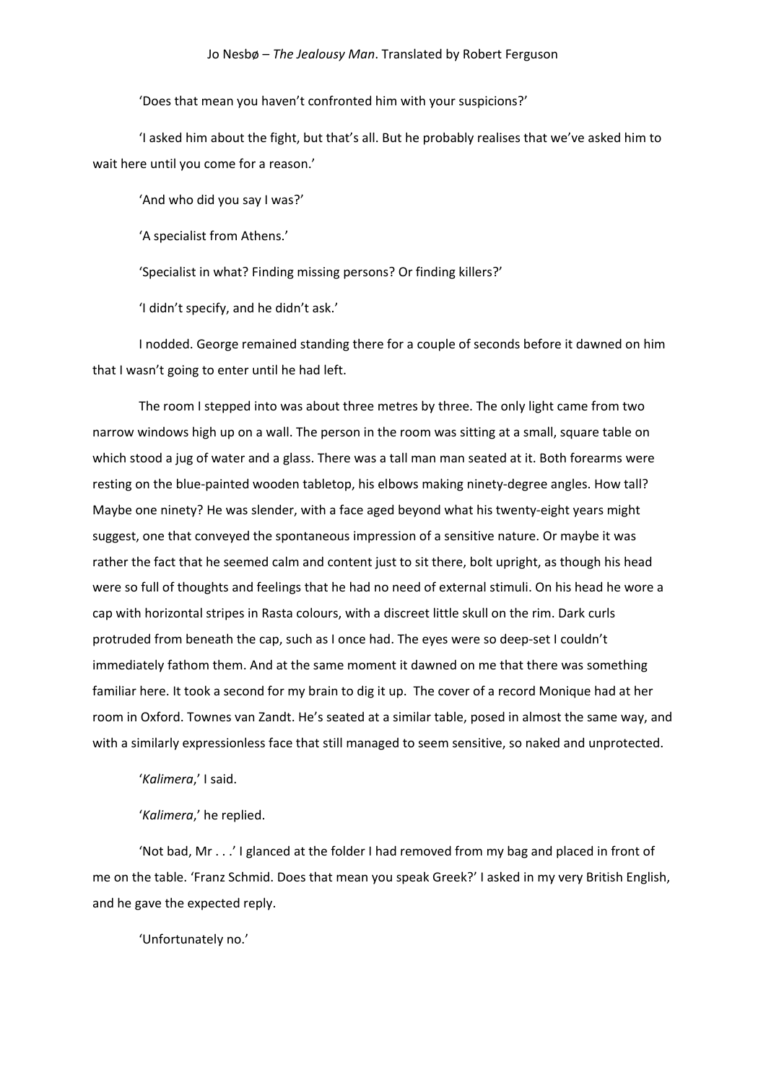'Does that mean you haven't confronted him with your suspicions?'

'I asked him about the fight, but that's all. But he probably realises that we've asked him to wait here until you come for a reason.'

'And who did you say I was?'

'A specialist from Athens.'

'Specialist in what? Finding missing persons? Or finding killers?'

'I didn't specify, and he didn't ask.'

I nodded. George remained standing there for a couple of seconds before it dawned on him that I wasn't going to enter until he had left.

The room I stepped into was about three metres by three. The only light came from two narrow windows high up on a wall. The person in the room was sitting at a small, square table on which stood a jug of water and a glass. There was a tall man man seated at it. Both forearms were resting on the blue-painted wooden tabletop, his elbows making ninety-degree angles. How tall? Maybe one ninety? He was slender, with a face aged beyond what his twenty-eight years might suggest, one that conveyed the spontaneous impression of a sensitive nature. Or maybe it was rather the fact that he seemed calm and content just to sit there, bolt upright, as though his head were so full of thoughts and feelings that he had no need of external stimuli. On his head he wore a cap with horizontal stripes in Rasta colours, with a discreet little skull on the rim. Dark curls protruded from beneath the cap, such as I once had. The eyes were so deep-set I couldn't immediately fathom them. And at the same moment it dawned on me that there was something familiar here. It took a second for my brain to dig it up. The cover of a record Monique had at her room in Oxford. Townes van Zandt. He's seated at a similar table, posed in almost the same way, and with a similarly expressionless face that still managed to seem sensitive, so naked and unprotected.

'*Kalimera*,' I said.

'*Kalimera*,' he replied.

'Not bad, Mr . . .' I glanced at the folder I had removed from my bag and placed in front of me on the table. 'Franz Schmid. Does that mean you speak Greek?' I asked in my very British English, and he gave the expected reply.

'Unfortunately no.'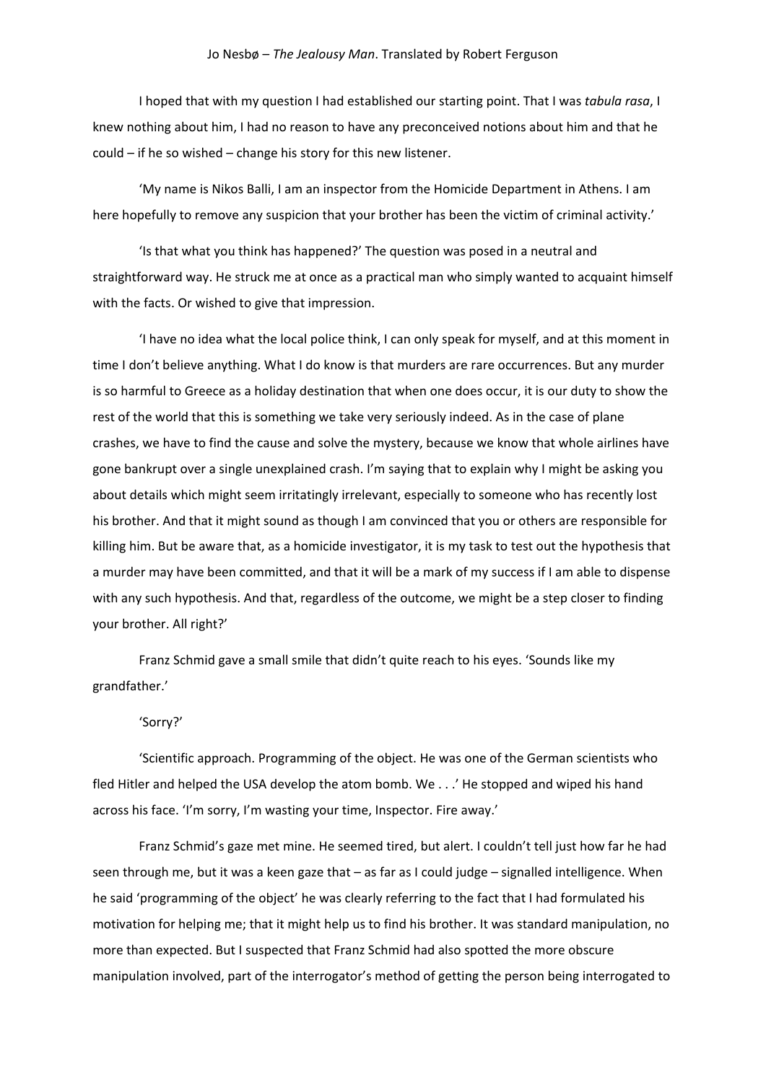I hoped that with my question I had established our starting point. That I was *tabula rasa*, I knew nothing about him, I had no reason to have any preconceived notions about him and that he could – if he so wished – change his story for this new listener.

'My name is Nikos Balli, I am an inspector from the Homicide Department in Athens. I am here hopefully to remove any suspicion that your brother has been the victim of criminal activity.'

'Is that what you think has happened?' The question was posed in a neutral and straightforward way. He struck me at once as a practical man who simply wanted to acquaint himself with the facts. Or wished to give that impression.

'I have no idea what the local police think, I can only speak for myself, and at this moment in time I don't believe anything. What I do know is that murders are rare occurrences. But any murder is so harmful to Greece as a holiday destination that when one does occur, it is our duty to show the rest of the world that this is something we take very seriously indeed. As in the case of plane crashes, we have to find the cause and solve the mystery, because we know that whole airlines have gone bankrupt over a single unexplained crash. I'm saying that to explain why I might be asking you about details which might seem irritatingly irrelevant, especially to someone who has recently lost his brother. And that it might sound as though I am convinced that you or others are responsible for killing him. But be aware that, as a homicide investigator, it is my task to test out the hypothesis that a murder may have been committed, and that it will be a mark of my success if I am able to dispense with any such hypothesis. And that, regardless of the outcome, we might be a step closer to finding your brother. All right?'

Franz Schmid gave a small smile that didn't quite reach to his eyes. 'Sounds like my grandfather.'

#### 'Sorry?'

'Scientific approach. Programming of the object. He was one of the German scientists who fled Hitler and helped the USA develop the atom bomb. We . . .' He stopped and wiped his hand across his face. 'I'm sorry, I'm wasting your time, Inspector. Fire away.'

Franz Schmid's gaze met mine. He seemed tired, but alert. I couldn't tell just how far he had seen through me, but it was a keen gaze that – as far as I could judge – signalled intelligence. When he said 'programming of the object' he was clearly referring to the fact that I had formulated his motivation for helping me; that it might help us to find his brother. It was standard manipulation, no more than expected. But I suspected that Franz Schmid had also spotted the more obscure manipulation involved, part of the interrogator's method of getting the person being interrogated to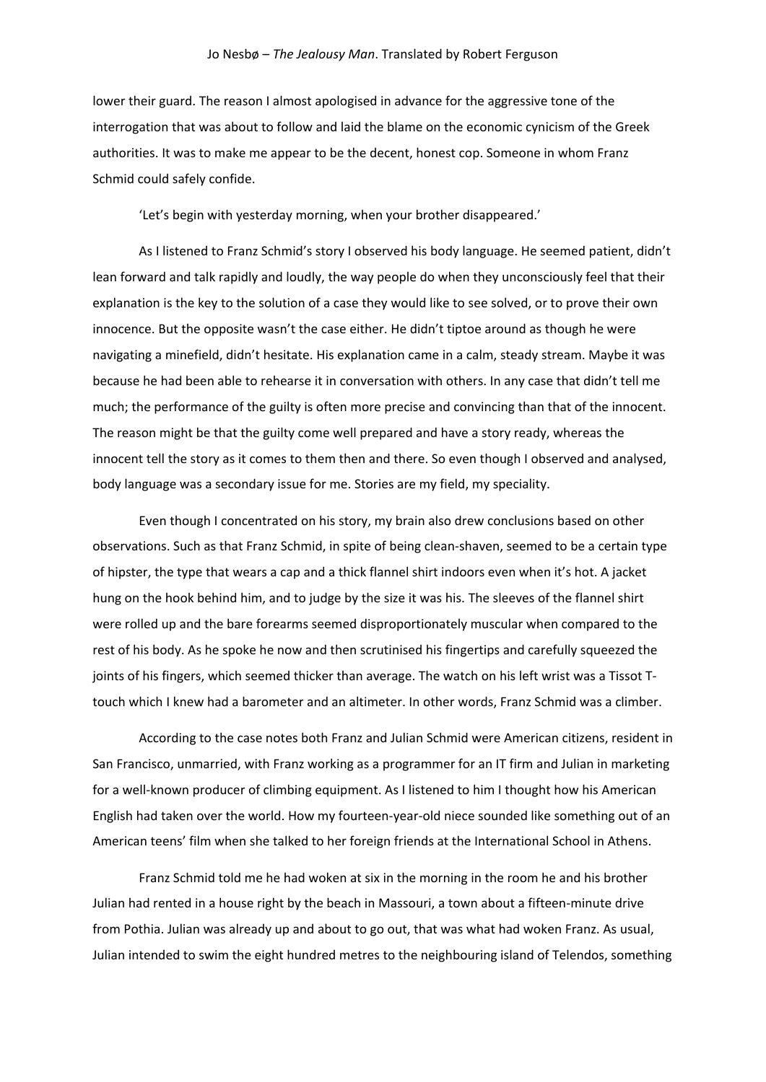lower their guard. The reason I almost apologised in advance for the aggressive tone of the interrogation that was about to follow and laid the blame on the economic cynicism of the Greek authorities. It was to make me appear to be the decent, honest cop. Someone in whom Franz Schmid could safely confide.

'Let's begin with yesterday morning, when your brother disappeared.'

As I listened to Franz Schmid's story I observed his body language. He seemed patient, didn't lean forward and talk rapidly and loudly, the way people do when they unconsciously feel that their explanation is the key to the solution of a case they would like to see solved, or to prove their own innocence. But the opposite wasn't the case either. He didn't tiptoe around as though he were navigating a minefield, didn't hesitate. His explanation came in a calm, steady stream. Maybe it was because he had been able to rehearse it in conversation with others. In any case that didn't tell me much; the performance of the guilty is often more precise and convincing than that of the innocent. The reason might be that the guilty come well prepared and have a story ready, whereas the innocent tell the story as it comes to them then and there. So even though I observed and analysed, body language was a secondary issue for me. Stories are my field, my speciality.

Even though I concentrated on his story, my brain also drew conclusions based on other observations. Such as that Franz Schmid, in spite of being clean-shaven, seemed to be a certain type of hipster, the type that wears a cap and a thick flannel shirt indoors even when it's hot. A jacket hung on the hook behind him, and to judge by the size it was his. The sleeves of the flannel shirt were rolled up and the bare forearms seemed disproportionately muscular when compared to the rest of his body. As he spoke he now and then scrutinised his fingertips and carefully squeezed the joints of his fingers, which seemed thicker than average. The watch on his left wrist was a Tissot Ttouch which I knew had a barometer and an altimeter. In other words, Franz Schmid was a climber.

According to the case notes both Franz and Julian Schmid were American citizens, resident in San Francisco, unmarried, with Franz working as a programmer for an IT firm and Julian in marketing for a well-known producer of climbing equipment. As I listened to him I thought how his American English had taken over the world. How my fourteen-year-old niece sounded like something out of an American teens' film when she talked to her foreign friends at the International School in Athens.

Franz Schmid told me he had woken at six in the morning in the room he and his brother Julian had rented in a house right by the beach in Massouri, a town about a fifteen-minute drive from Pothia. Julian was already up and about to go out, that was what had woken Franz. As usual, Julian intended to swim the eight hundred metres to the neighbouring island of Telendos, something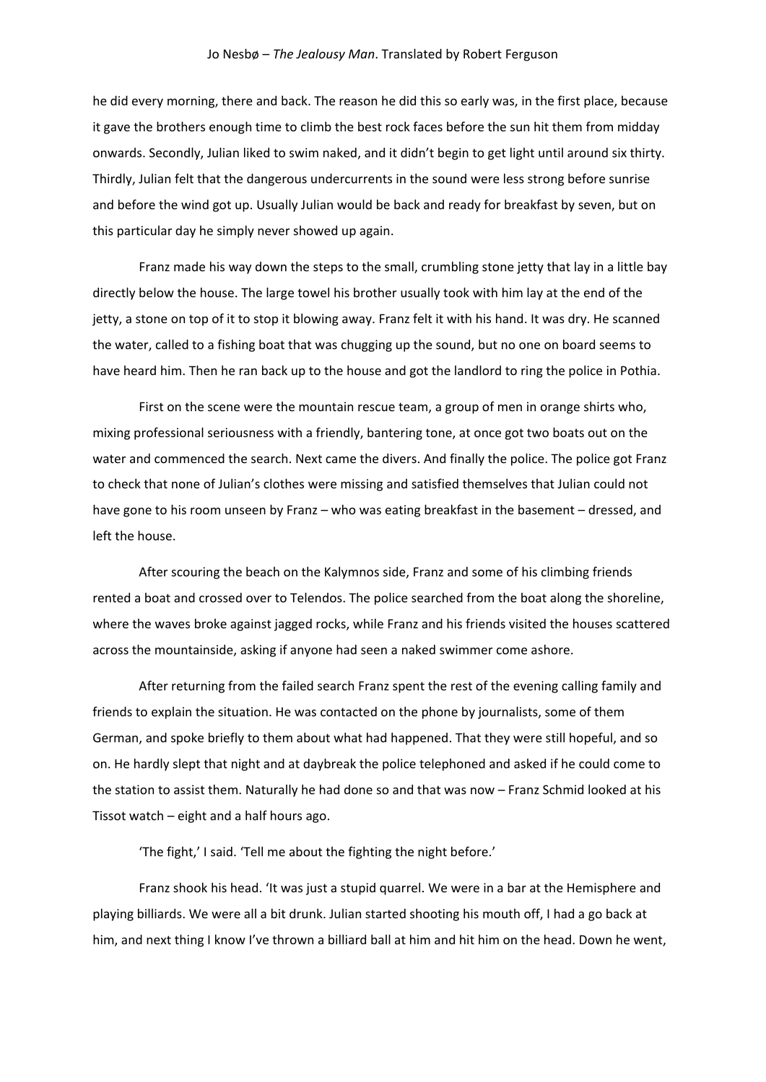he did every morning, there and back. The reason he did this so early was, in the first place, because it gave the brothers enough time to climb the best rock faces before the sun hit them from midday onwards. Secondly, Julian liked to swim naked, and it didn't begin to get light until around six thirty. Thirdly, Julian felt that the dangerous undercurrents in the sound were less strong before sunrise and before the wind got up. Usually Julian would be back and ready for breakfast by seven, but on this particular day he simply never showed up again.

Franz made his way down the steps to the small, crumbling stone jetty that lay in a little bay directly below the house. The large towel his brother usually took with him lay at the end of the jetty, a stone on top of it to stop it blowing away. Franz felt it with his hand. It was dry. He scanned the water, called to a fishing boat that was chugging up the sound, but no one on board seems to have heard him. Then he ran back up to the house and got the landlord to ring the police in Pothia.

First on the scene were the mountain rescue team, a group of men in orange shirts who, mixing professional seriousness with a friendly, bantering tone, at once got two boats out on the water and commenced the search. Next came the divers. And finally the police. The police got Franz to check that none of Julian's clothes were missing and satisfied themselves that Julian could not have gone to his room unseen by Franz – who was eating breakfast in the basement – dressed, and left the house.

After scouring the beach on the Kalymnos side, Franz and some of his climbing friends rented a boat and crossed over to Telendos. The police searched from the boat along the shoreline, where the waves broke against jagged rocks, while Franz and his friends visited the houses scattered across the mountainside, asking if anyone had seen a naked swimmer come ashore.

After returning from the failed search Franz spent the rest of the evening calling family and friends to explain the situation. He was contacted on the phone by journalists, some of them German, and spoke briefly to them about what had happened. That they were still hopeful, and so on. He hardly slept that night and at daybreak the police telephoned and asked if he could come to the station to assist them. Naturally he had done so and that was now – Franz Schmid looked at his Tissot watch – eight and a half hours ago.

'The fight,' I said. 'Tell me about the fighting the night before.'

Franz shook his head. 'It was just a stupid quarrel. We were in a bar at the Hemisphere and playing billiards. We were all a bit drunk. Julian started shooting his mouth off, I had a go back at him, and next thing I know I've thrown a billiard ball at him and hit him on the head. Down he went,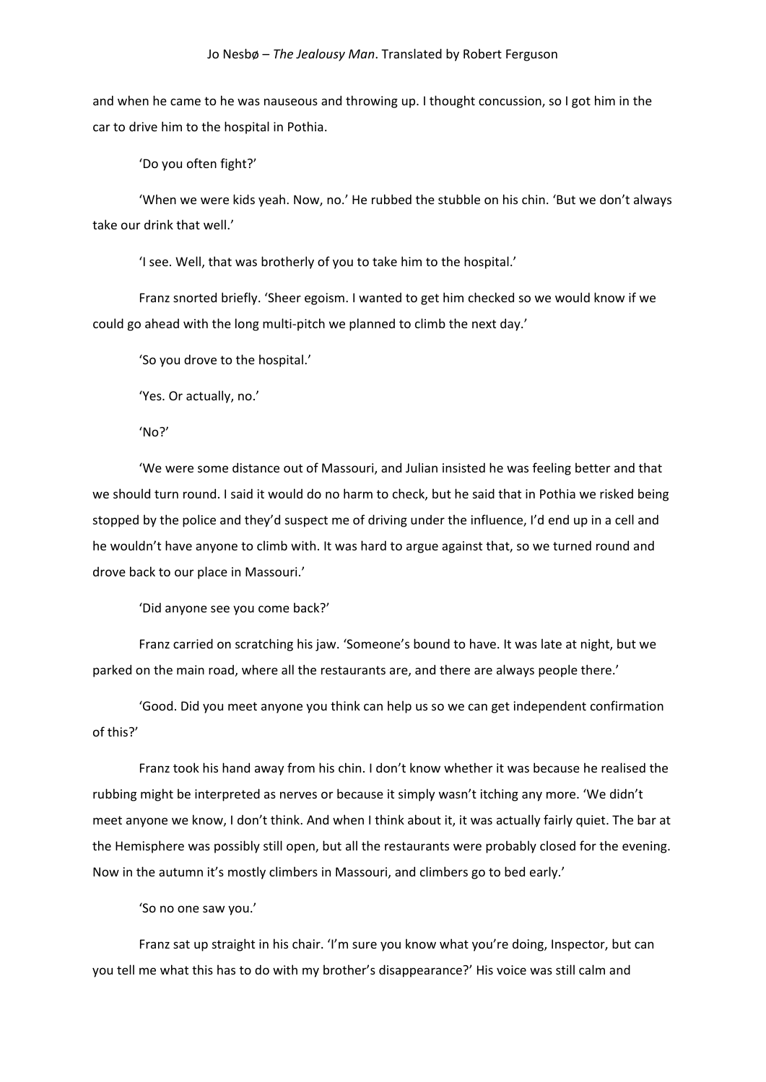and when he came to he was nauseous and throwing up. I thought concussion, so I got him in the car to drive him to the hospital in Pothia.

'Do you often fight?'

'When we were kids yeah. Now, no.' He rubbed the stubble on his chin. 'But we don't always take our drink that well.'

'I see. Well, that was brotherly of you to take him to the hospital.'

Franz snorted briefly. 'Sheer egoism. I wanted to get him checked so we would know if we could go ahead with the long multi-pitch we planned to climb the next day.'

'So you drove to the hospital.'

'Yes. Or actually, no.'

'No?'

'We were some distance out of Massouri, and Julian insisted he was feeling better and that we should turn round. I said it would do no harm to check, but he said that in Pothia we risked being stopped by the police and they'd suspect me of driving under the influence, I'd end up in a cell and he wouldn't have anyone to climb with. It was hard to argue against that, so we turned round and drove back to our place in Massouri.'

'Did anyone see you come back?'

Franz carried on scratching his jaw. 'Someone's bound to have. It was late at night, but we parked on the main road, where all the restaurants are, and there are always people there.'

'Good. Did you meet anyone you think can help us so we can get independent confirmation of this?'

Franz took his hand away from his chin. I don't know whether it was because he realised the rubbing might be interpreted as nerves or because it simply wasn't itching any more. 'We didn't meet anyone we know, I don't think. And when I think about it, it was actually fairly quiet. The bar at the Hemisphere was possibly still open, but all the restaurants were probably closed for the evening. Now in the autumn it's mostly climbers in Massouri, and climbers go to bed early.'

'So no one saw you.'

Franz sat up straight in his chair. 'I'm sure you know what you're doing, Inspector, but can you tell me what this has to do with my brother's disappearance?' His voice was still calm and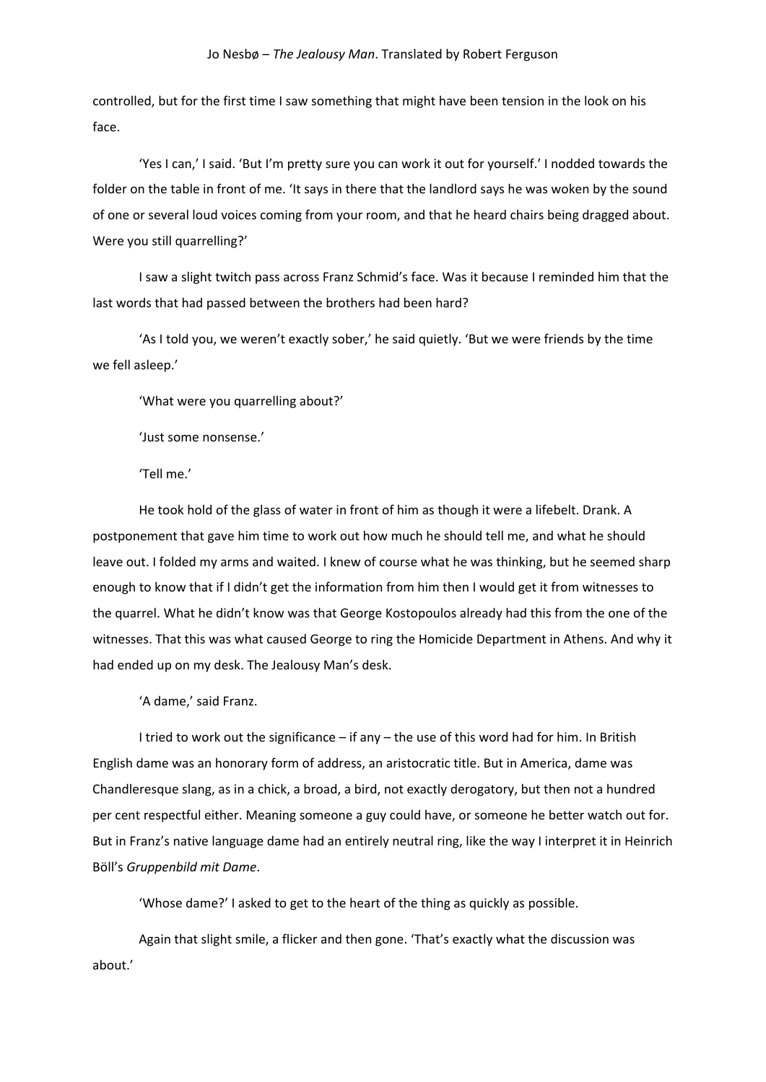controlled, but for the first time I saw something that might have been tension in the look on his face.

'Yes I can,' I said. 'But I'm pretty sure you can work it out for yourself.' I nodded towards the folder on the table in front of me. 'It says in there that the landlord says he was woken by the sound of one or several loud voices coming from your room, and that he heard chairs being dragged about. Were you still quarrelling?'

I saw a slight twitch pass across Franz Schmid's face. Was it because I reminded him that the last words that had passed between the brothers had been hard?

'As I told you, we weren't exactly sober,' he said quietly. 'But we were friends by the time we fell asleep.'

'What were you quarrelling about?'

'Just some nonsense.'

'Tell me.'

He took hold of the glass of water in front of him as though it were a lifebelt. Drank. A postponement that gave him time to work out how much he should tell me, and what he should leave out. I folded my arms and waited. I knew of course what he was thinking, but he seemed sharp enough to know that if I didn't get the information from him then I would get it from witnesses to the quarrel. What he didn't know was that George Kostopoulos already had this from the one of the witnesses. That this was what caused George to ring the Homicide Department in Athens. And why it had ended up on my desk. The Jealousy Man's desk.

'A dame,' said Franz.

I tried to work out the significance – if any – the use of this word had for him. In British English dame was an honorary form of address, an aristocratic title. But in America, dame was Chandleresque slang, as in a chick, a broad, a bird, not exactly derogatory, but then not a hundred per cent respectful either. Meaning someone a guy could have, or someone he better watch out for. But in Franz's native language dame had an entirely neutral ring, like the way I interpret it in Heinrich Böll's *Gruppenbild mit Dame*.

'Whose dame?' I asked to get to the heart of the thing as quickly as possible.

Again that slight smile, a flicker and then gone. 'That's exactly what the discussion was about.'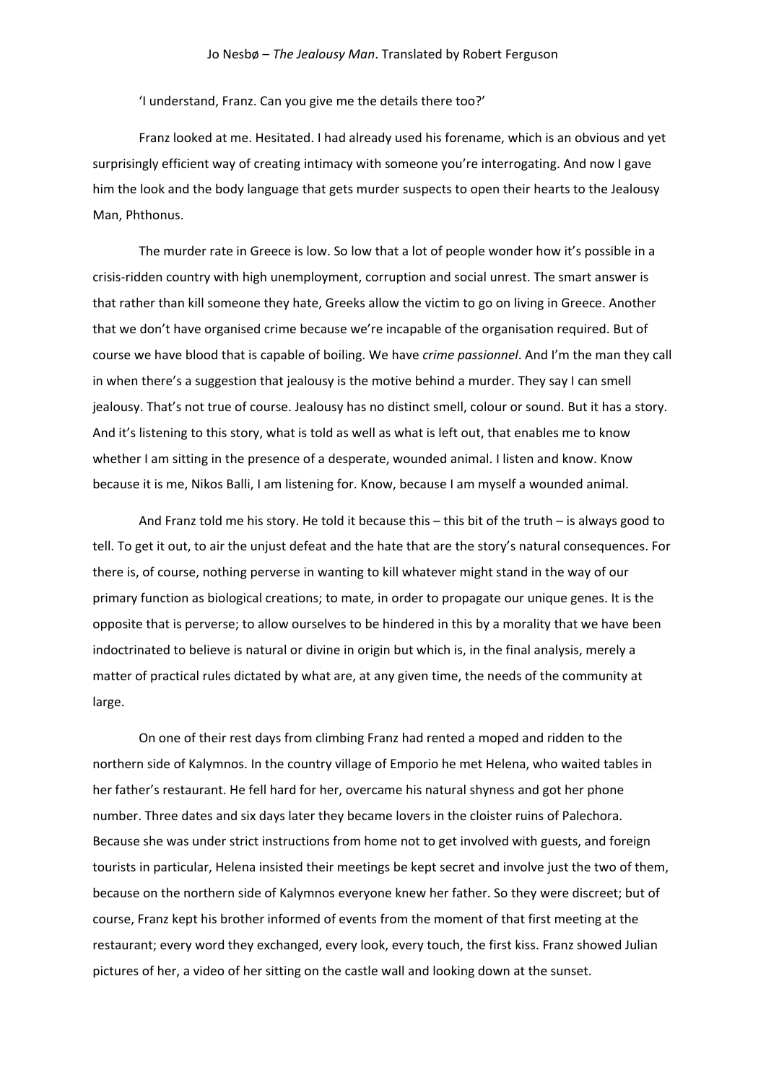'I understand, Franz. Can you give me the details there too?'

Franz looked at me. Hesitated. I had already used his forename, which is an obvious and yet surprisingly efficient way of creating intimacy with someone you're interrogating. And now I gave him the look and the body language that gets murder suspects to open their hearts to the Jealousy Man, Phthonus.

The murder rate in Greece is low. So low that a lot of people wonder how it's possible in a crisis-ridden country with high unemployment, corruption and social unrest. The smart answer is that rather than kill someone they hate, Greeks allow the victim to go on living in Greece. Another that we don't have organised crime because we're incapable of the organisation required. But of course we have blood that is capable of boiling. We have *crime passionnel*. And I'm the man they call in when there's a suggestion that jealousy is the motive behind a murder. They say I can smell jealousy. That's not true of course. Jealousy has no distinct smell, colour or sound. But it has a story. And it's listening to this story, what is told as well as what is left out, that enables me to know whether I am sitting in the presence of a desperate, wounded animal. I listen and know. Know because it is me, Nikos Balli, I am listening for. Know, because I am myself a wounded animal.

And Franz told me his story. He told it because this – this bit of the truth – is always good to tell. To get it out, to air the unjust defeat and the hate that are the story's natural consequences. For there is, of course, nothing perverse in wanting to kill whatever might stand in the way of our primary function as biological creations; to mate, in order to propagate our unique genes. It is the opposite that is perverse; to allow ourselves to be hindered in this by a morality that we have been indoctrinated to believe is natural or divine in origin but which is, in the final analysis, merely a matter of practical rules dictated by what are, at any given time, the needs of the community at large.

On one of their rest days from climbing Franz had rented a moped and ridden to the northern side of Kalymnos. In the country village of Emporio he met Helena, who waited tables in her father's restaurant. He fell hard for her, overcame his natural shyness and got her phone number. Three dates and six days later they became lovers in the cloister ruins of Palechora. Because she was under strict instructions from home not to get involved with guests, and foreign tourists in particular, Helena insisted their meetings be kept secret and involve just the two of them, because on the northern side of Kalymnos everyone knew her father. So they were discreet; but of course, Franz kept his brother informed of events from the moment of that first meeting at the restaurant; every word they exchanged, every look, every touch, the first kiss. Franz showed Julian pictures of her, a video of her sitting on the castle wall and looking down at the sunset.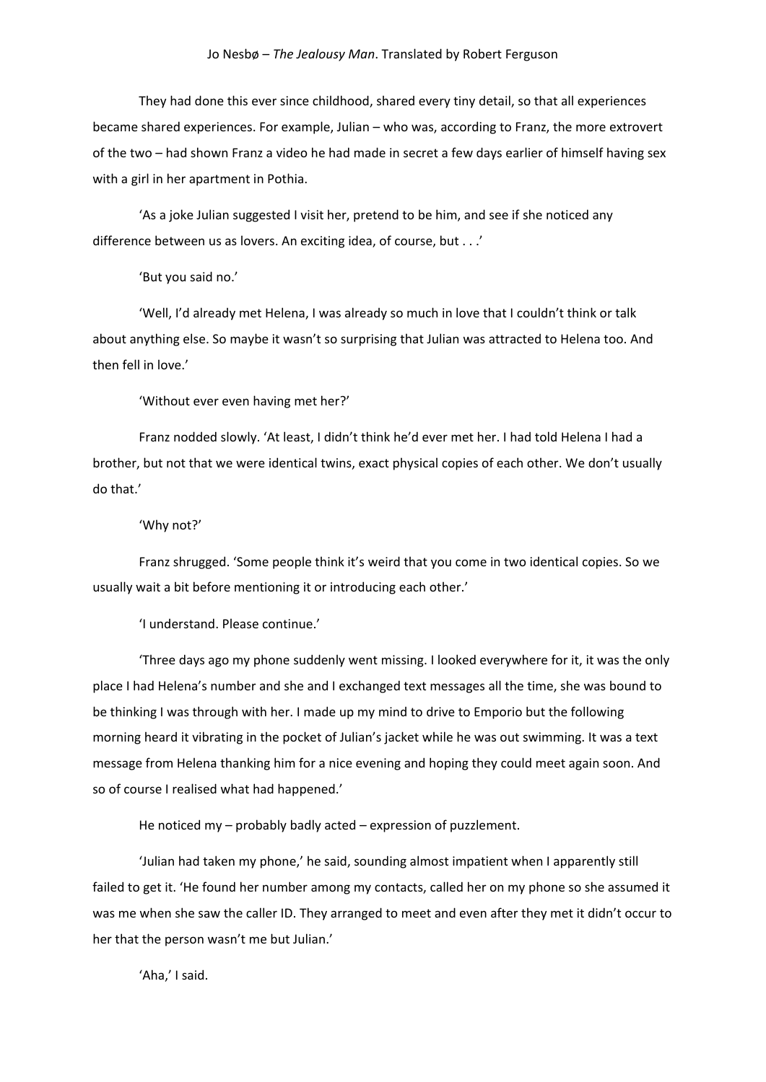They had done this ever since childhood, shared every tiny detail, so that all experiences became shared experiences. For example, Julian – who was, according to Franz, the more extrovert of the two – had shown Franz a video he had made in secret a few days earlier of himself having sex with a girl in her apartment in Pothia.

'As a joke Julian suggested I visit her, pretend to be him, and see if she noticed any difference between us as lovers. An exciting idea, of course, but . . .'

'But you said no.'

'Well, I'd already met Helena, I was already so much in love that I couldn't think or talk about anything else. So maybe it wasn't so surprising that Julian was attracted to Helena too. And then fell in love.'

'Without ever even having met her?'

Franz nodded slowly. 'At least, I didn't think he'd ever met her. I had told Helena I had a brother, but not that we were identical twins, exact physical copies of each other. We don't usually do that.'

'Why not?'

Franz shrugged. 'Some people think it's weird that you come in two identical copies. So we usually wait a bit before mentioning it or introducing each other.'

'I understand. Please continue.'

'Three days ago my phone suddenly went missing. I looked everywhere for it, it was the only place I had Helena's number and she and I exchanged text messages all the time, she was bound to be thinking I was through with her. I made up my mind to drive to Emporio but the following morning heard it vibrating in the pocket of Julian's jacket while he was out swimming. It was a text message from Helena thanking him for a nice evening and hoping they could meet again soon. And so of course I realised what had happened.'

He noticed my – probably badly acted – expression of puzzlement.

'Julian had taken my phone,' he said, sounding almost impatient when I apparently still failed to get it. 'He found her number among my contacts, called her on my phone so she assumed it was me when she saw the caller ID. They arranged to meet and even after they met it didn't occur to her that the person wasn't me but Julian.'

'Aha,' I said.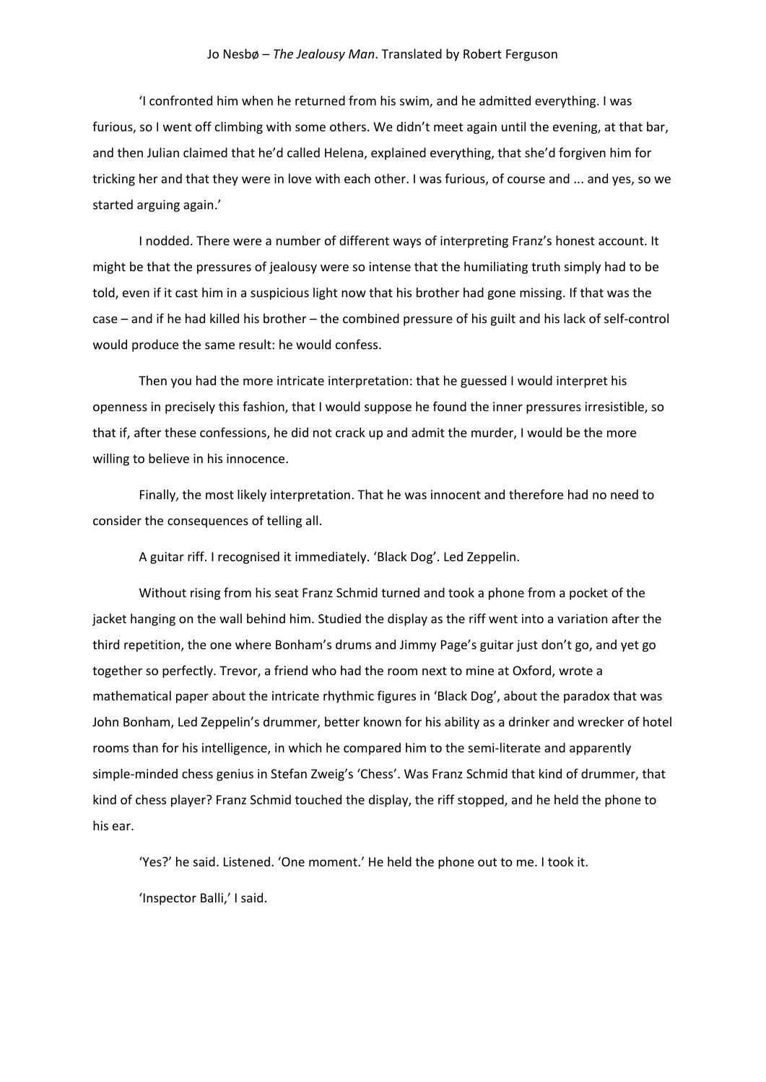'I confronted him when he returned from his swim, and he admitted everything. I was furious, so I went off climbing with some others. We didn't meet again until the evening, at that bar, and then Julian claimed that he'd called Helena, explained everything, that she'd forgiven him for tricking her and that they were in love with each other. I was furious, of course and ... and yes, so we started arguing again.'

I nodded. There were a number of different ways of interpreting Franz's honest account. It might be that the pressures of jealousy were so intense that the humiliating truth simply had to be told, even if it cast him in a suspicious light now that his brother had gone missing. If that was the case – and if he had killed his brother – the combined pressure of his guilt and his lack of self-control would produce the same result: he would confess.

Then you had the more intricate interpretation: that he guessed I would interpret his openness in precisely this fashion, that I would suppose he found the inner pressures irresistible, so that if, after these confessions, he did not crack up and admit the murder, I would be the more willing to believe in his innocence.

Finally, the most likely interpretation. That he was innocent and therefore had no need to consider the consequences of telling all.

A guitar riff. I recognised it immediately. 'Black Dog'. Led Zeppelin.

Without rising from his seat Franz Schmid turned and took a phone from a pocket of the jacket hanging on the wall behind him. Studied the display as the riff went into a variation after the third repetition, the one where Bonham's drums and Jimmy Page's guitar just don't go, and yet go together so perfectly. Trevor, a friend who had the room next to mine at Oxford, wrote a mathematical paper about the intricate rhythmic figures in 'Black Dog', about the paradox that was John Bonham, Led Zeppelin's drummer, better known for his ability as a drinker and wrecker of hotel rooms than for his intelligence, in which he compared him to the semi-literate and apparently simple-minded chess genius in Stefan Zweig's 'Chess'. Was Franz Schmid that kind of drummer, that kind of chess player? Franz Schmid touched the display, the riff stopped, and he held the phone to his ear.

'Yes?' he said. Listened. 'One moment.' He held the phone out to me. I took it.

'Inspector Balli,' I said.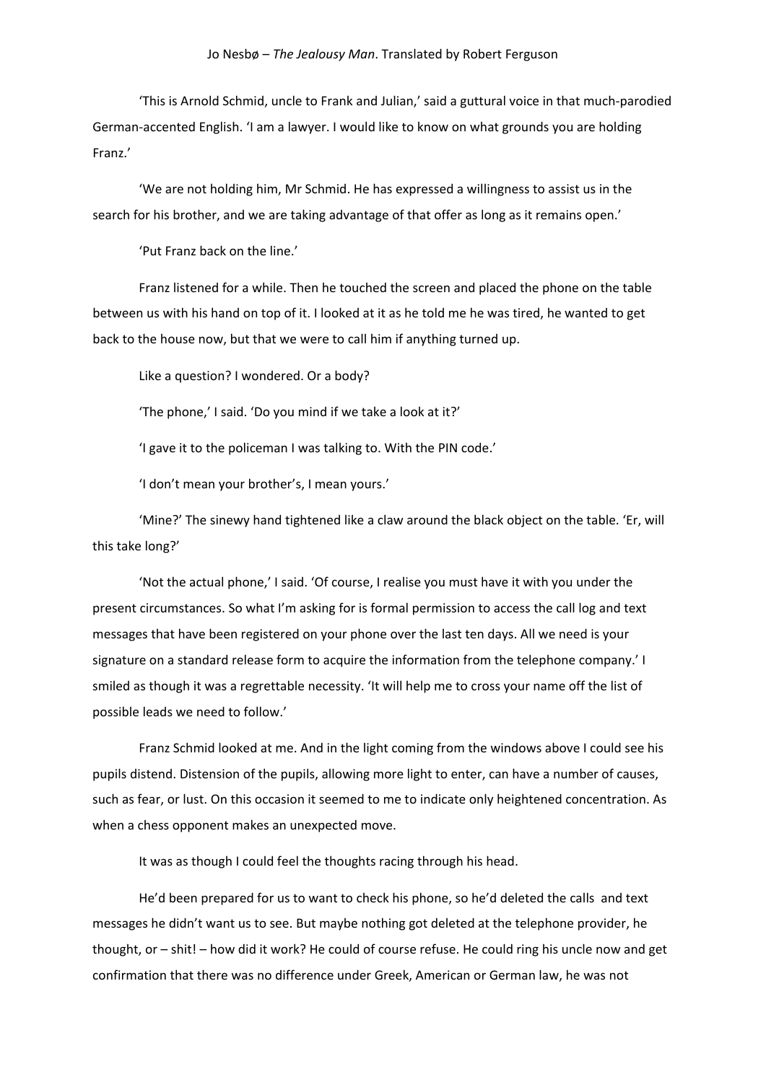'This is Arnold Schmid, uncle to Frank and Julian,' said a guttural voice in that much-parodied German-accented English. 'I am a lawyer. I would like to know on what grounds you are holding Franz.'

'We are not holding him, Mr Schmid. He has expressed a willingness to assist us in the search for his brother, and we are taking advantage of that offer as long as it remains open.'

'Put Franz back on the line.'

Franz listened for a while. Then he touched the screen and placed the phone on the table between us with his hand on top of it. I looked at it as he told me he was tired, he wanted to get back to the house now, but that we were to call him if anything turned up.

Like a question? I wondered. Or a body?

'The phone,' I said. 'Do you mind if we take a look at it?'

'I gave it to the policeman I was talking to. With the PIN code.'

'I don't mean your brother's, I mean yours.'

'Mine?' The sinewy hand tightened like a claw around the black object on the table. 'Er, will this take long?'

'Not the actual phone,' I said. 'Of course, I realise you must have it with you under the present circumstances. So what I'm asking for is formal permission to access the call log and text messages that have been registered on your phone over the last ten days. All we need is your signature on a standard release form to acquire the information from the telephone company.' I smiled as though it was a regrettable necessity. 'It will help me to cross your name off the list of possible leads we need to follow.'

Franz Schmid looked at me. And in the light coming from the windows above I could see his pupils distend. Distension of the pupils, allowing more light to enter, can have a number of causes, such as fear, or lust. On this occasion it seemed to me to indicate only heightened concentration. As when a chess opponent makes an unexpected move.

It was as though I could feel the thoughts racing through his head.

He'd been prepared for us to want to check his phone, so he'd deleted the calls and text messages he didn't want us to see. But maybe nothing got deleted at the telephone provider, he thought, or – shit! – how did it work? He could of course refuse. He could ring his uncle now and get confirmation that there was no difference under Greek, American or German law, he was not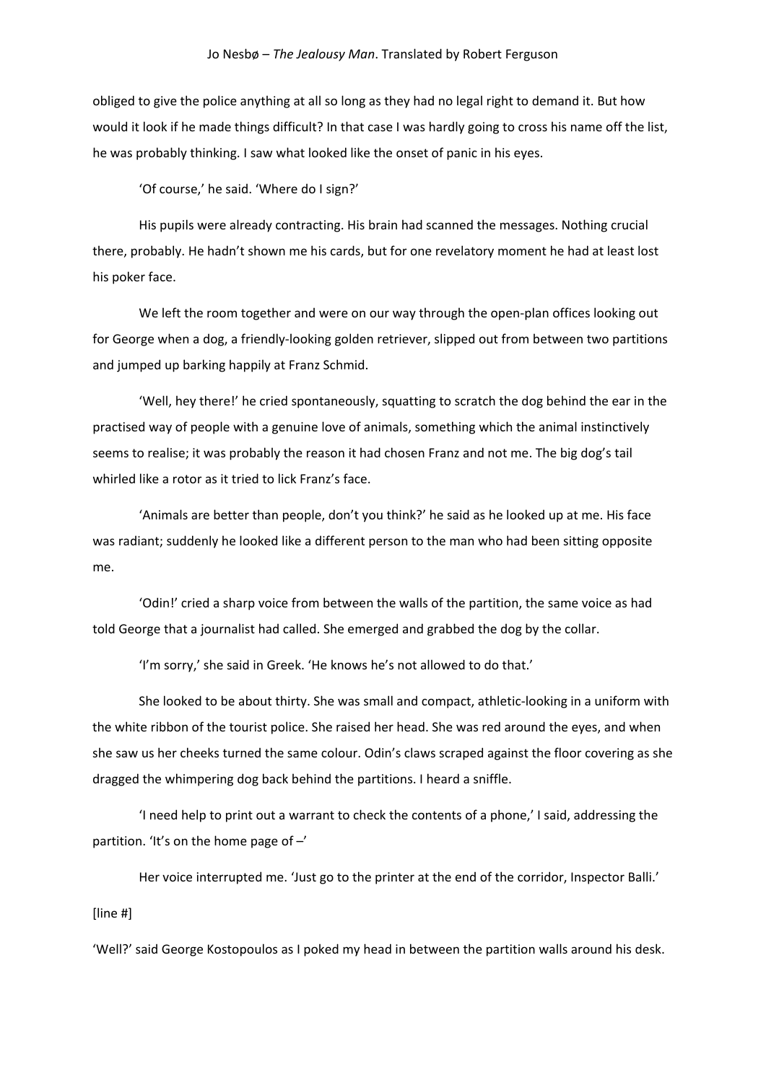obliged to give the police anything at all so long as they had no legal right to demand it. But how would it look if he made things difficult? In that case I was hardly going to cross his name off the list, he was probably thinking. I saw what looked like the onset of panic in his eyes.

'Of course,' he said. 'Where do I sign?'

His pupils were already contracting. His brain had scanned the messages. Nothing crucial there, probably. He hadn't shown me his cards, but for one revelatory moment he had at least lost his poker face.

We left the room together and were on our way through the open-plan offices looking out for George when a dog, a friendly-looking golden retriever, slipped out from between two partitions and jumped up barking happily at Franz Schmid.

'Well, hey there!' he cried spontaneously, squatting to scratch the dog behind the ear in the practised way of people with a genuine love of animals, something which the animal instinctively seems to realise; it was probably the reason it had chosen Franz and not me. The big dog's tail whirled like a rotor as it tried to lick Franz's face.

'Animals are better than people, don't you think?' he said as he looked up at me. His face was radiant; suddenly he looked like a different person to the man who had been sitting opposite me.

'Odin!' cried a sharp voice from between the walls of the partition, the same voice as had told George that a journalist had called. She emerged and grabbed the dog by the collar.

'I'm sorry,' she said in Greek. 'He knows he's not allowed to do that.'

She looked to be about thirty. She was small and compact, athletic-looking in a uniform with the white ribbon of the tourist police. She raised her head. She was red around the eyes, and when she saw us her cheeks turned the same colour. Odin's claws scraped against the floor covering as she dragged the whimpering dog back behind the partitions. I heard a sniffle.

'I need help to print out a warrant to check the contents of a phone,' I said, addressing the partition. 'It's on the home page of –'

Her voice interrupted me. 'Just go to the printer at the end of the corridor, Inspector Balli.'

[line #]

'Well?' said George Kostopoulos as I poked my head in between the partition walls around his desk.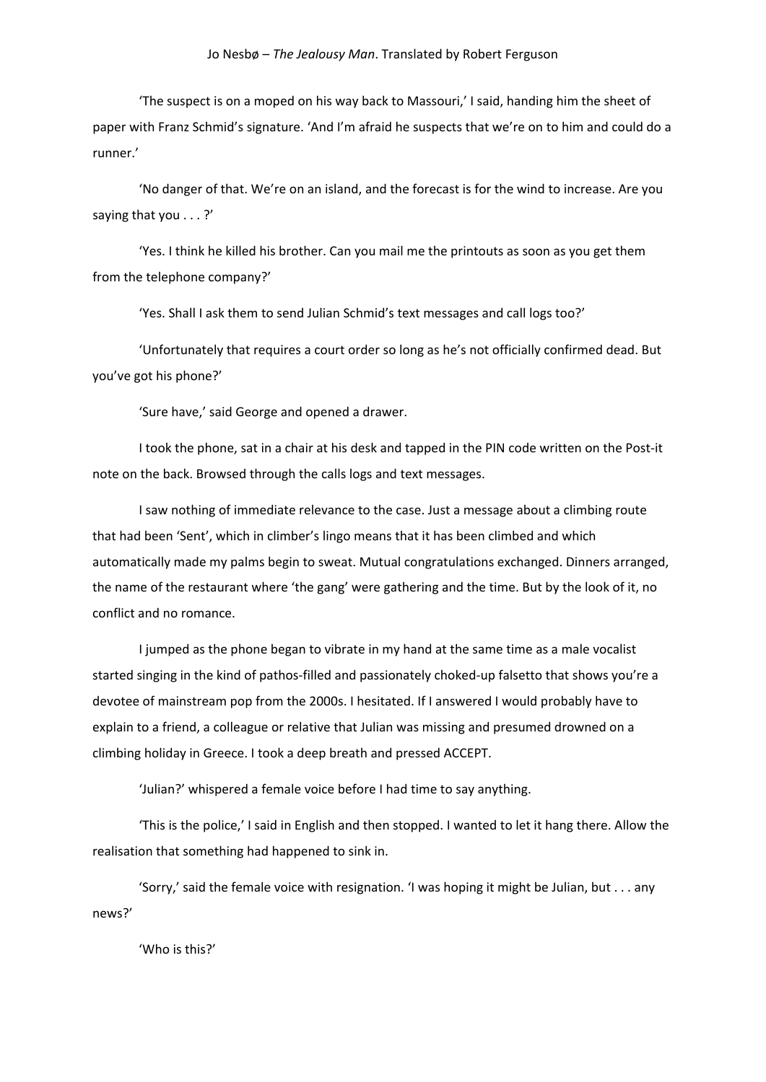'The suspect is on a moped on his way back to Massouri,' I said, handing him the sheet of paper with Franz Schmid's signature. 'And I'm afraid he suspects that we're on to him and could do a runner.'

'No danger of that. We're on an island, and the forecast is for the wind to increase. Are you saying that you . . . ?'

'Yes. I think he killed his brother. Can you mail me the printouts as soon as you get them from the telephone company?'

'Yes. Shall I ask them to send Julian Schmid's text messages and call logs too?'

'Unfortunately that requires a court order so long as he's not officially confirmed dead. But you've got his phone?'

'Sure have,' said George and opened a drawer.

I took the phone, sat in a chair at his desk and tapped in the PIN code written on the Post-it note on the back. Browsed through the calls logs and text messages.

I saw nothing of immediate relevance to the case. Just a message about a climbing route that had been 'Sent', which in climber's lingo means that it has been climbed and which automatically made my palms begin to sweat. Mutual congratulations exchanged. Dinners arranged, the name of the restaurant where 'the gang' were gathering and the time. But by the look of it, no conflict and no romance.

I jumped as the phone began to vibrate in my hand at the same time as a male vocalist started singing in the kind of pathos-filled and passionately choked-up falsetto that shows you're a devotee of mainstream pop from the 2000s. I hesitated. If I answered I would probably have to explain to a friend, a colleague or relative that Julian was missing and presumed drowned on a climbing holiday in Greece. I took a deep breath and pressed ACCEPT.

'Julian?' whispered a female voice before I had time to say anything.

'This is the police,' I said in English and then stopped. I wanted to let it hang there. Allow the realisation that something had happened to sink in.

'Sorry,' said the female voice with resignation. 'I was hoping it might be Julian, but . . . any news?'

'Who is this?'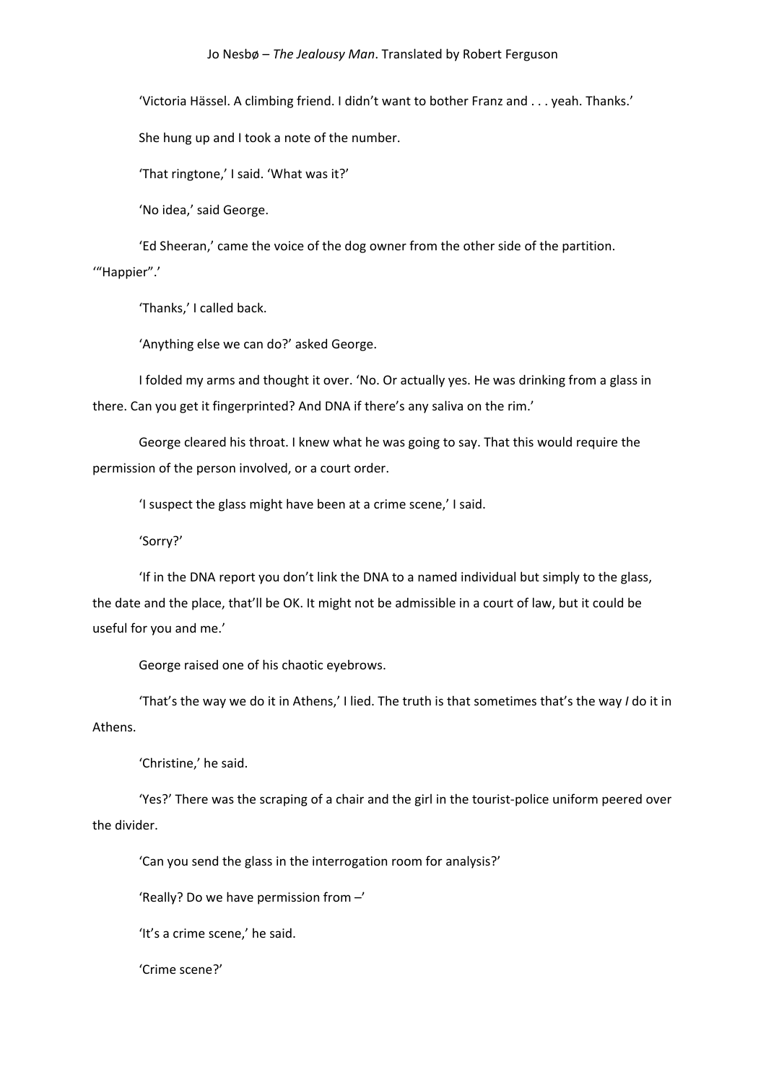'Victoria Hässel. A climbing friend. I didn't want to bother Franz and . . . yeah. Thanks.'

She hung up and I took a note of the number.

'That ringtone,' I said. 'What was it?'

'No idea,' said George.

'Ed Sheeran,' came the voice of the dog owner from the other side of the partition. '"Happier".'

'Thanks,' I called back.

'Anything else we can do?' asked George.

I folded my arms and thought it over. 'No. Or actually yes. He was drinking from a glass in there. Can you get it fingerprinted? And DNA if there's any saliva on the rim.'

George cleared his throat. I knew what he was going to say. That this would require the permission of the person involved, or a court order.

'I suspect the glass might have been at a crime scene,' I said.

'Sorry?'

'If in the DNA report you don't link the DNA to a named individual but simply to the glass, the date and the place, that'll be OK. It might not be admissible in a court of law, but it could be useful for you and me.'

George raised one of his chaotic eyebrows.

'That's the way we do it in Athens,' I lied. The truth is that sometimes that's the way *I* do it in Athens.

'Christine,' he said.

'Yes?' There was the scraping of a chair and the girl in the tourist-police uniform peered over the divider.

'Can you send the glass in the interrogation room for analysis?'

'Really? Do we have permission from –'

'It's a crime scene,' he said.

'Crime scene?'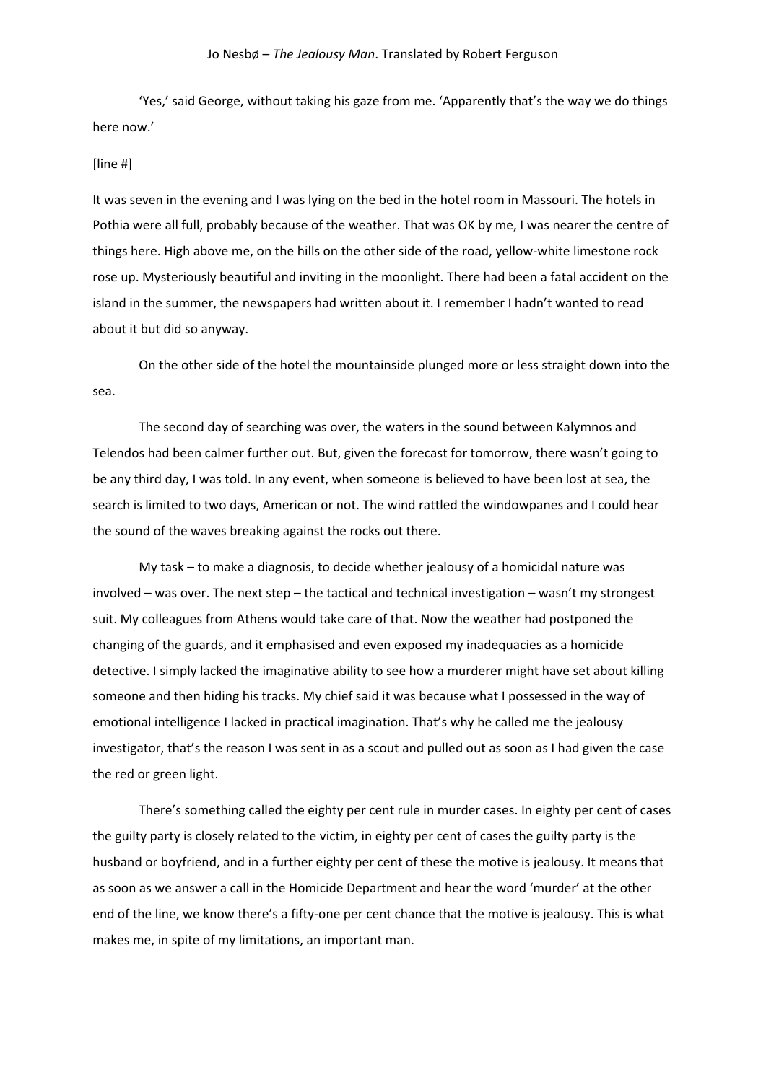'Yes,' said George, without taking his gaze from me. 'Apparently that's the way we do things here now.'

#### [line #]

It was seven in the evening and I was lying on the bed in the hotel room in Massouri. The hotels in Pothia were all full, probably because of the weather. That was OK by me, I was nearer the centre of things here. High above me, on the hills on the other side of the road, yellow-white limestone rock rose up. Mysteriously beautiful and inviting in the moonlight. There had been a fatal accident on the island in the summer, the newspapers had written about it. I remember I hadn't wanted to read about it but did so anyway.

On the other side of the hotel the mountainside plunged more or less straight down into the sea.

The second day of searching was over, the waters in the sound between Kalymnos and Telendos had been calmer further out. But, given the forecast for tomorrow, there wasn't going to be any third day, I was told. In any event, when someone is believed to have been lost at sea, the search is limited to two days, American or not. The wind rattled the windowpanes and I could hear the sound of the waves breaking against the rocks out there.

My task – to make a diagnosis, to decide whether jealousy of a homicidal nature was involved – was over. The next step – the tactical and technical investigation – wasn't my strongest suit. My colleagues from Athens would take care of that. Now the weather had postponed the changing of the guards, and it emphasised and even exposed my inadequacies as a homicide detective. I simply lacked the imaginative ability to see how a murderer might have set about killing someone and then hiding his tracks. My chief said it was because what I possessed in the way of emotional intelligence I lacked in practical imagination. That's why he called me the jealousy investigator, that's the reason I was sent in as a scout and pulled out as soon as I had given the case the red or green light.

There's something called the eighty per cent rule in murder cases. In eighty per cent of cases the guilty party is closely related to the victim, in eighty per cent of cases the guilty party is the husband or boyfriend, and in a further eighty per cent of these the motive is jealousy. It means that as soon as we answer a call in the Homicide Department and hear the word 'murder' at the other end of the line, we know there's a fifty-one per cent chance that the motive is jealousy. This is what makes me, in spite of my limitations, an important man.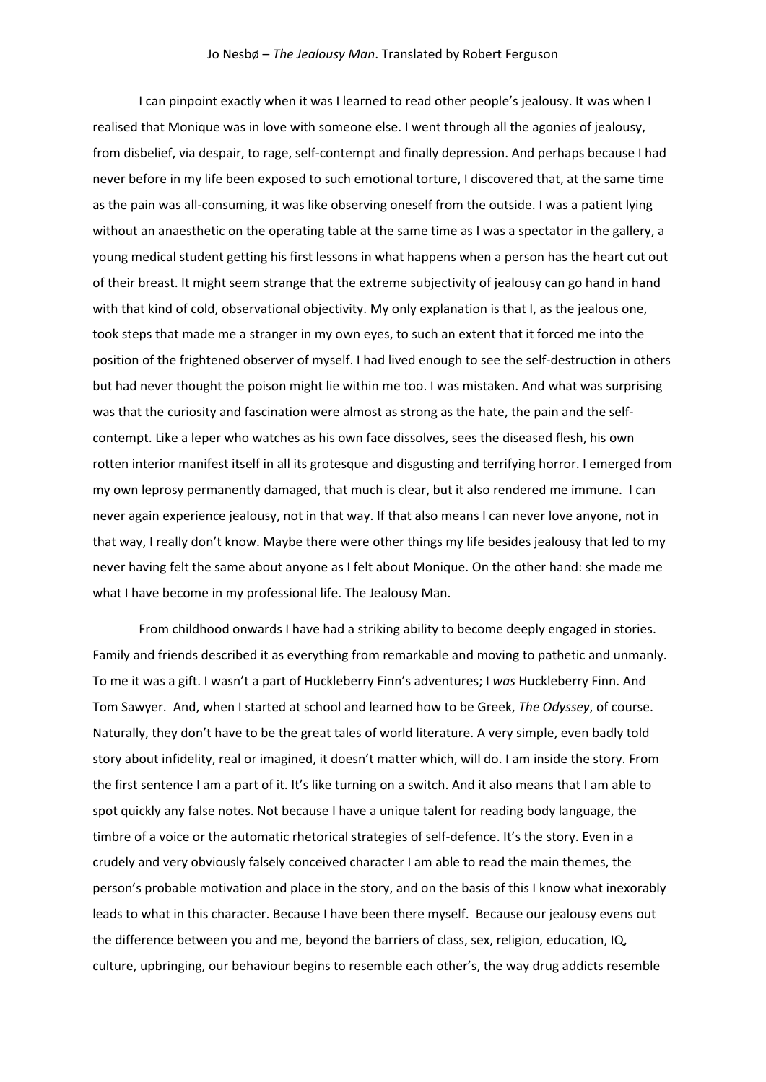I can pinpoint exactly when it was I learned to read other people's jealousy. It was when I realised that Monique was in love with someone else. I went through all the agonies of jealousy, from disbelief, via despair, to rage, self-contempt and finally depression. And perhaps because I had never before in my life been exposed to such emotional torture, I discovered that, at the same time as the pain was all-consuming, it was like observing oneself from the outside. I was a patient lying without an anaesthetic on the operating table at the same time as I was a spectator in the gallery, a young medical student getting his first lessons in what happens when a person has the heart cut out of their breast. It might seem strange that the extreme subjectivity of jealousy can go hand in hand with that kind of cold, observational objectivity. My only explanation is that I, as the jealous one, took steps that made me a stranger in my own eyes, to such an extent that it forced me into the position of the frightened observer of myself. I had lived enough to see the self-destruction in others but had never thought the poison might lie within me too. I was mistaken. And what was surprising was that the curiosity and fascination were almost as strong as the hate, the pain and the selfcontempt. Like a leper who watches as his own face dissolves, sees the diseased flesh, his own rotten interior manifest itself in all its grotesque and disgusting and terrifying horror. I emerged from my own leprosy permanently damaged, that much is clear, but it also rendered me immune. I can never again experience jealousy, not in that way. If that also means I can never love anyone, not in that way, I really don't know. Maybe there were other things my life besides jealousy that led to my never having felt the same about anyone as I felt about Monique. On the other hand: she made me what I have become in my professional life. The Jealousy Man.

From childhood onwards I have had a striking ability to become deeply engaged in stories. Family and friends described it as everything from remarkable and moving to pathetic and unmanly. To me it was a gift. I wasn't a part of Huckleberry Finn's adventures; I *was* Huckleberry Finn. And Tom Sawyer. And, when I started at school and learned how to be Greek, *The Odyssey*, of course. Naturally, they don't have to be the great tales of world literature. A very simple, even badly told story about infidelity, real or imagined, it doesn't matter which, will do. I am inside the story. From the first sentence I am a part of it. It's like turning on a switch. And it also means that I am able to spot quickly any false notes. Not because I have a unique talent for reading body language, the timbre of a voice or the automatic rhetorical strategies of self-defence. It's the story. Even in a crudely and very obviously falsely conceived character I am able to read the main themes, the person's probable motivation and place in the story, and on the basis of this I know what inexorably leads to what in this character. Because I have been there myself. Because our jealousy evens out the difference between you and me, beyond the barriers of class, sex, religion, education, IQ, culture, upbringing, our behaviour begins to resemble each other's, the way drug addicts resemble